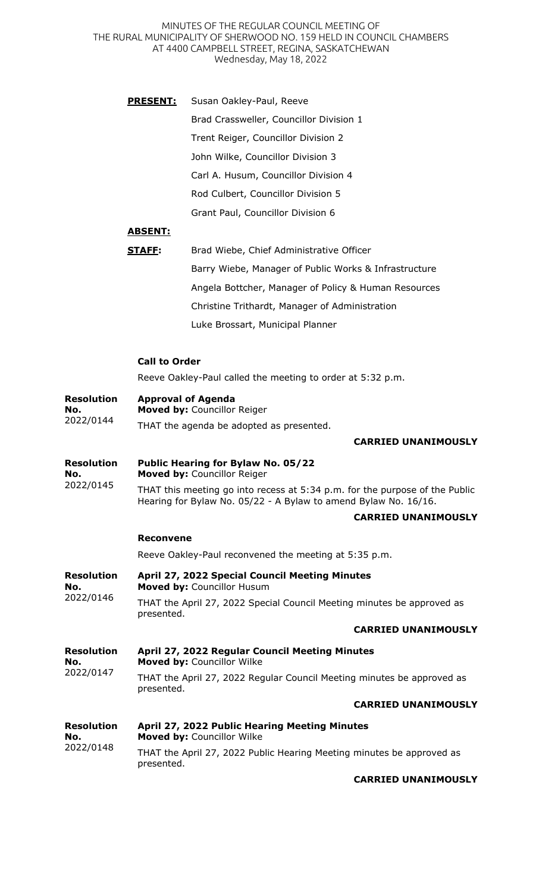MINUTES OF THE REGULAR COUNCIL MEETING OF THE RURAL MUNICIPALITY OF SHERWOOD NO. 159 HELD IN COUNCIL CHAMBERS AT 4400 CAMPBELL STREET, REGINA, SASKATCHEWAN Wednesday, May 18, 2022

**PRESENT:** Susan Oakley-Paul, Reeve Brad Crassweller, Councillor Division 1 Trent Reiger, Councillor Division 2 John Wilke, Councillor Division 3 Carl A. Husum, Councillor Division 4 Rod Culbert, Councillor Division 5 Grant Paul, Councillor Division 6

## **ABSENT:**

| STAFF: | Brad Wiebe, Chief Administrative Officer              |
|--------|-------------------------------------------------------|
|        | Barry Wiebe, Manager of Public Works & Infrastructure |
|        | Angela Bottcher, Manager of Policy & Human Resources  |
|        | Christine Trithardt, Manager of Administration        |
|        | Luke Brossart, Municipal Planner                      |

## **Call to Order**

Reeve Oakley-Paul called the meeting to order at 5:32 p.m.

| <b>Resolution</b><br>No.<br>2022/0144 | <b>Approval of Agenda</b><br>Moved by: Councillor Reiger                                                                                       |
|---------------------------------------|------------------------------------------------------------------------------------------------------------------------------------------------|
|                                       | THAT the agenda be adopted as presented.                                                                                                       |
|                                       | <b>CARRIED UNANIMOUSLY</b>                                                                                                                     |
| <b>Resolution</b><br>No.<br>2022/0145 | Public Hearing for Bylaw No. 05/22<br>Moved by: Councillor Reiger                                                                              |
|                                       | THAT this meeting go into recess at 5:34 p.m. for the purpose of the Public<br>Hearing for Bylaw No. 05/22 - A Bylaw to amend Bylaw No. 16/16. |
|                                       | <b>CARRIED UNANIMOUSLY</b>                                                                                                                     |
|                                       | <b>Reconvene</b>                                                                                                                               |
|                                       | Reeve Oakley-Paul reconvened the meeting at 5:35 p.m.                                                                                          |
| <b>Resolution</b><br>No.<br>2022/0146 | April 27, 2022 Special Council Meeting Minutes<br>Moved by: Councillor Husum                                                                   |
|                                       | THAT the April 27, 2022 Special Council Meeting minutes be approved as<br>presented.                                                           |
|                                       | <b>CARRIED UNANIMOUSLY</b>                                                                                                                     |
| <b>Resolution</b><br>No.<br>2022/0147 | April 27, 2022 Regular Council Meeting Minutes<br>Moved by: Councillor Wilke                                                                   |
|                                       | THAT the April 27, 2022 Regular Council Meeting minutes be approved as<br>presented.                                                           |
|                                       | <b>CARRIED UNANIMOUSLY</b>                                                                                                                     |
| <b>Resolution</b><br>No.<br>2022/0148 | April 27, 2022 Public Hearing Meeting Minutes<br>Moved by: Councillor Wilke                                                                    |
|                                       | THAT the April 27, 2022 Public Hearing Meeting minutes be approved as<br>presented.                                                            |
|                                       |                                                                                                                                                |

## **CARRIED UNANIMOUSLY**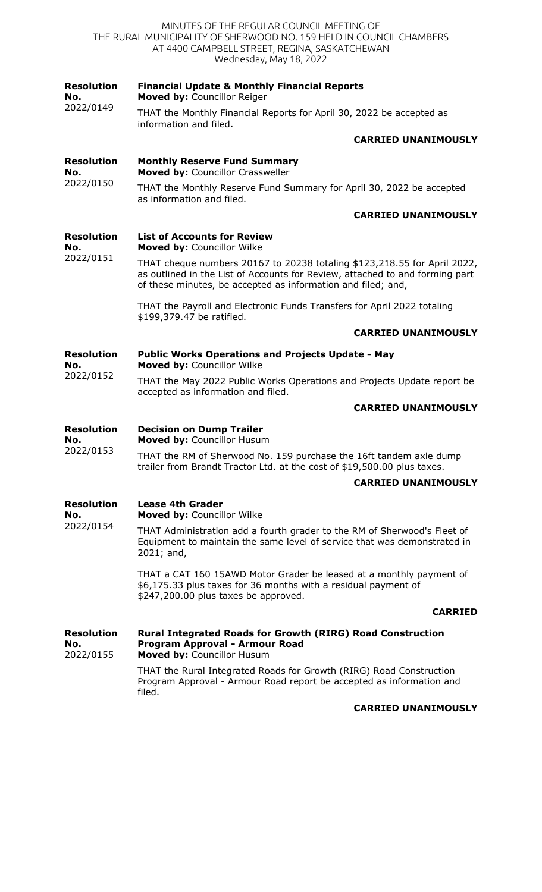|                                       | MINUTES OF THE REGULAR COUNCIL MEETING OF<br>THE RURAL MUNICIPALITY OF SHERWOOD NO. 159 HELD IN COUNCIL CHAMBERS<br>AT 4400 CAMPBELL STREET, REGINA, SASKATCHEWAN<br>Wednesday, May 18, 2022                             |
|---------------------------------------|--------------------------------------------------------------------------------------------------------------------------------------------------------------------------------------------------------------------------|
| <b>Resolution</b><br>No.              | <b>Financial Update &amp; Monthly Financial Reports</b><br>Moved by: Councillor Reiger                                                                                                                                   |
| 2022/0149                             | THAT the Monthly Financial Reports for April 30, 2022 be accepted as<br>information and filed.                                                                                                                           |
|                                       | <b>CARRIED UNANIMOUSLY</b>                                                                                                                                                                                               |
| <b>Resolution</b><br>No.<br>2022/0150 | <b>Monthly Reserve Fund Summary</b><br>Moved by: Councillor Crassweller                                                                                                                                                  |
|                                       | THAT the Monthly Reserve Fund Summary for April 30, 2022 be accepted<br>as information and filed.                                                                                                                        |
|                                       | <b>CARRIED UNANIMOUSLY</b>                                                                                                                                                                                               |
| <b>Resolution</b><br>No.<br>2022/0151 | <b>List of Accounts for Review</b><br>Moved by: Councillor Wilke                                                                                                                                                         |
|                                       | THAT cheque numbers 20167 to 20238 totaling \$123,218.55 for April 2022,<br>as outlined in the List of Accounts for Review, attached to and forming part<br>of these minutes, be accepted as information and filed; and, |
|                                       | THAT the Payroll and Electronic Funds Transfers for April 2022 totaling<br>\$199,379.47 be ratified.                                                                                                                     |
|                                       | <b>CARRIED UNANIMOUSLY</b>                                                                                                                                                                                               |
| <b>Resolution</b><br>No.<br>2022/0152 | <b>Public Works Operations and Projects Update - May</b><br>Moved by: Councillor Wilke                                                                                                                                   |
|                                       | THAT the May 2022 Public Works Operations and Projects Update report be<br>accepted as information and filed.                                                                                                            |
|                                       | <b>CARRIED UNANIMOUSLY</b>                                                                                                                                                                                               |
| Resolution<br>No.                     | <b>Decision on Dump Trailer</b><br>Moved by: Councillor Husum                                                                                                                                                            |
| 2022/0153                             | THAT the RM of Sherwood No. 159 purchase the 16ft tandem axle dump<br>trailer from Brandt Tractor Ltd. at the cost of \$19,500.00 plus taxes.                                                                            |
|                                       | <b>CARRIED UNANIMOUSLY</b>                                                                                                                                                                                               |
| <b>Resolution</b><br>No.<br>2022/0154 | <b>Lease 4th Grader</b><br>Moved by: Councillor Wilke                                                                                                                                                                    |
|                                       | THAT Administration add a fourth grader to the RM of Sherwood's Fleet of<br>Equipment to maintain the same level of service that was demonstrated in<br>$2021;$ and,                                                     |
|                                       | THAT a CAT 160 15AWD Motor Grader be leased at a monthly payment of<br>\$6,175.33 plus taxes for 36 months with a residual payment of<br>\$247,200.00 plus taxes be approved.                                            |
|                                       | <b>CARRIED</b>                                                                                                                                                                                                           |
| <b>Resolution</b><br>No.<br>2022/0155 | <b>Rural Integrated Roads for Growth (RIRG) Road Construction</b><br>Program Approval - Armour Road<br>Moved by: Councillor Husum                                                                                        |
|                                       | THAT the Rural Integrated Roads for Growth (RIRG) Road Construction<br>Program Approval - Armour Road report be accepted as information and<br>filed.                                                                    |
|                                       | <b>CARRIED UNANIMOUSLY</b>                                                                                                                                                                                               |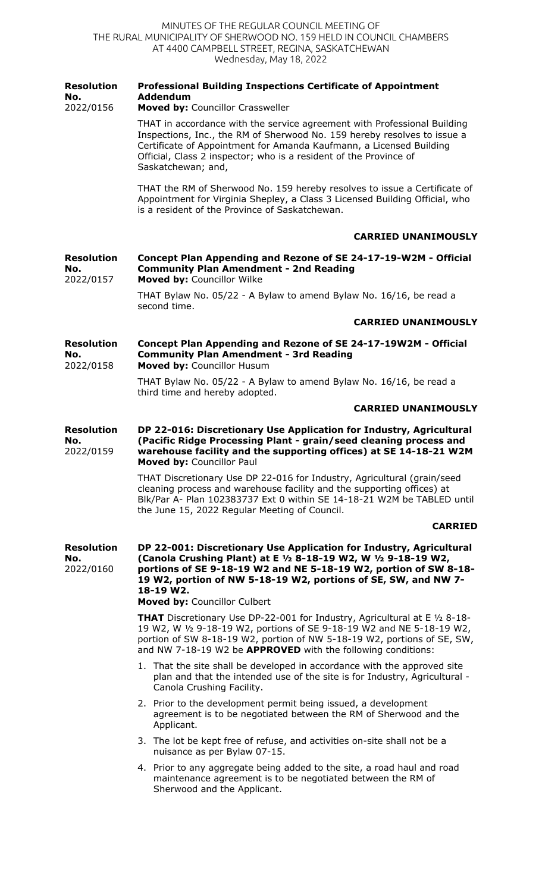| <b>Resolution</b><br>No.              | <b>Professional Building Inspections Certificate of Appointment</b><br><b>Addendum</b>                                                                                                                                                                                                                          |
|---------------------------------------|-----------------------------------------------------------------------------------------------------------------------------------------------------------------------------------------------------------------------------------------------------------------------------------------------------------------|
| 2022/0156                             | Moved by: Councillor Crassweller<br>THAT in accordance with the service agreement with Professional Building                                                                                                                                                                                                    |
|                                       | Inspections, Inc., the RM of Sherwood No. 159 hereby resolves to issue a<br>Certificate of Appointment for Amanda Kaufmann, a Licensed Building<br>Official, Class 2 inspector; who is a resident of the Province of<br>Saskatchewan; and,                                                                      |
|                                       | THAT the RM of Sherwood No. 159 hereby resolves to issue a Certificate of<br>Appointment for Virginia Shepley, a Class 3 Licensed Building Official, who<br>is a resident of the Province of Saskatchewan.                                                                                                      |
|                                       | <b>CARRIED UNANIMOUSLY</b>                                                                                                                                                                                                                                                                                      |
| <b>Resolution</b><br>No.<br>2022/0157 | Concept Plan Appending and Rezone of SE 24-17-19-W2M - Official<br><b>Community Plan Amendment - 2nd Reading</b><br>Moved by: Councillor Wilke                                                                                                                                                                  |
|                                       | THAT Bylaw No. 05/22 - A Bylaw to amend Bylaw No. 16/16, be read a<br>second time.                                                                                                                                                                                                                              |
|                                       | <b>CARRIED UNANIMOUSLY</b>                                                                                                                                                                                                                                                                                      |
| <b>Resolution</b><br>No.<br>2022/0158 | Concept Plan Appending and Rezone of SE 24-17-19W2M - Official<br><b>Community Plan Amendment - 3rd Reading</b><br>Moved by: Councillor Husum                                                                                                                                                                   |
|                                       | THAT Bylaw No. 05/22 - A Bylaw to amend Bylaw No. 16/16, be read a<br>third time and hereby adopted.                                                                                                                                                                                                            |
|                                       | <b>CARRIED UNANIMOUSLY</b>                                                                                                                                                                                                                                                                                      |
| <b>Resolution</b><br>No.<br>2022/0159 | DP 22-016: Discretionary Use Application for Industry, Agricultural<br>(Pacific Ridge Processing Plant - grain/seed cleaning process and<br>warehouse facility and the supporting offices) at SE 14-18-21 W2M<br>Moved by: Councillor Paul                                                                      |
|                                       | THAT Discretionary Use DP 22-016 for Industry, Agricultural (grain/seed<br>cleaning process and warehouse facility and the supporting offices) at<br>Blk/Par A- Plan 102383737 Ext 0 within SE 14-18-21 W2M be TABLED until<br>the June 15, 2022 Regular Meeting of Council.                                    |
|                                       | <b>CARRIED</b>                                                                                                                                                                                                                                                                                                  |
| <b>Resolution</b><br>No.<br>2022/0160 | DP 22-001: Discretionary Use Application for Industry, Agricultural<br>(Canola Crushing Plant) at E 1/2 8-18-19 W2, W 1/2 9-18-19 W2,<br>portions of SE 9-18-19 W2 and NE 5-18-19 W2, portion of SW 8-18-<br>19 W2, portion of NW 5-18-19 W2, portions of SE, SW, and NW 7-<br>18-19 W2.                        |
|                                       | Moved by: Councillor Culbert                                                                                                                                                                                                                                                                                    |
|                                       | <b>THAT</b> Discretionary Use DP-22-001 for Industry, Agricultural at E $\frac{1}{2}$ 8-18-<br>19 W2, W 1/2 9-18-19 W2, portions of SE 9-18-19 W2 and NE 5-18-19 W2,<br>portion of SW 8-18-19 W2, portion of NW 5-18-19 W2, portions of SE, SW,<br>and NW 7-18-19 W2 be APPROVED with the following conditions: |
|                                       | 1. That the site shall be developed in accordance with the approved site<br>plan and that the intended use of the site is for Industry, Agricultural -<br>Canola Crushing Facility.                                                                                                                             |
|                                       | 2. Prior to the development permit being issued, a development<br>agreement is to be negotiated between the RM of Sherwood and the<br>Applicant.                                                                                                                                                                |
|                                       | 3. The lot be kept free of refuse, and activities on-site shall not be a<br>nuisance as per Bylaw 07-15.                                                                                                                                                                                                        |
|                                       | 4. Prior to any aggregate being added to the site, a road haul and road<br>maintenance agreement is to be negotiated between the RM of<br>Sherwood and the Applicant.                                                                                                                                           |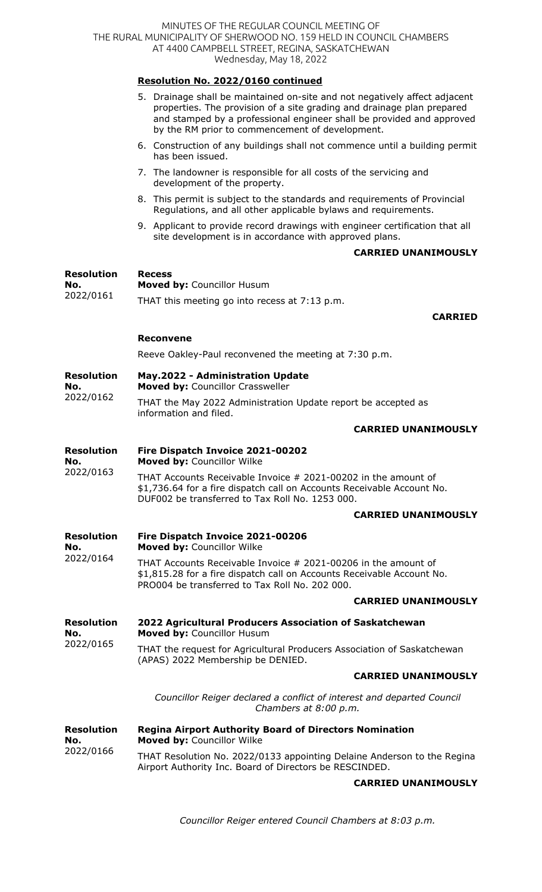|                                       | Resolution No. 2022/0160 continued                                                                                                                                                                                                                                               |
|---------------------------------------|----------------------------------------------------------------------------------------------------------------------------------------------------------------------------------------------------------------------------------------------------------------------------------|
|                                       | 5. Drainage shall be maintained on-site and not negatively affect adjacent<br>properties. The provision of a site grading and drainage plan prepared<br>and stamped by a professional engineer shall be provided and approved<br>by the RM prior to commencement of development. |
|                                       | 6. Construction of any buildings shall not commence until a building permit<br>has been issued.                                                                                                                                                                                  |
|                                       | 7. The landowner is responsible for all costs of the servicing and<br>development of the property.                                                                                                                                                                               |
|                                       | 8. This permit is subject to the standards and requirements of Provincial<br>Regulations, and all other applicable bylaws and requirements.                                                                                                                                      |
|                                       | 9. Applicant to provide record drawings with engineer certification that all<br>site development is in accordance with approved plans.                                                                                                                                           |
|                                       | <b>CARRIED UNANIMOUSLY</b>                                                                                                                                                                                                                                                       |
| <b>Resolution</b><br>No.              | <b>Recess</b><br>Moved by: Councillor Husum                                                                                                                                                                                                                                      |
| 2022/0161                             | THAT this meeting go into recess at 7:13 p.m.                                                                                                                                                                                                                                    |
|                                       | <b>CARRIED</b>                                                                                                                                                                                                                                                                   |
|                                       | <b>Reconvene</b>                                                                                                                                                                                                                                                                 |
|                                       | Reeve Oakley-Paul reconvened the meeting at 7:30 p.m.                                                                                                                                                                                                                            |
| <b>Resolution</b><br>No.              | <b>May.2022 - Administration Update</b><br>Moved by: Councillor Crassweller                                                                                                                                                                                                      |
| 2022/0162                             | THAT the May 2022 Administration Update report be accepted as<br>information and filed.                                                                                                                                                                                          |
|                                       | <b>CARRIED UNANIMOUSLY</b>                                                                                                                                                                                                                                                       |
| <b>Resolution</b><br>No.              | Fire Dispatch Invoice 2021-00202<br>Moved by: Councillor Wilke                                                                                                                                                                                                                   |
| 2022/0163                             | THAT Accounts Receivable Invoice # 2021-00202 in the amount of<br>\$1,736.64 for a fire dispatch call on Accounts Receivable Account No.<br>DUF002 be transferred to Tax Roll No. 1253 000.                                                                                      |
|                                       | <b>CARRIED UNANIMOUSLY</b>                                                                                                                                                                                                                                                       |
| <b>Resolution</b><br>No.              | Fire Dispatch Invoice 2021-00206<br>Moved by: Councillor Wilke                                                                                                                                                                                                                   |
| 2022/0164                             | THAT Accounts Receivable Invoice # 2021-00206 in the amount of<br>\$1,815.28 for a fire dispatch call on Accounts Receivable Account No.<br>PRO004 be transferred to Tax Roll No. 202 000.                                                                                       |
|                                       | <b>CARRIED UNANIMOUSLY</b>                                                                                                                                                                                                                                                       |
| <b>Resolution</b><br>No.              | 2022 Agricultural Producers Association of Saskatchewan<br>Moved by: Councillor Husum                                                                                                                                                                                            |
| 2022/0165                             | THAT the request for Agricultural Producers Association of Saskatchewan<br>(APAS) 2022 Membership be DENIED.                                                                                                                                                                     |
|                                       | <b>CARRIED UNANIMOUSLY</b>                                                                                                                                                                                                                                                       |
|                                       | Councillor Reiger declared a conflict of interest and departed Council<br>Chambers at 8:00 p.m.                                                                                                                                                                                  |
| <b>Resolution</b><br>No.<br>2022/0166 | <b>Regina Airport Authority Board of Directors Nomination</b><br>Moved by: Councillor Wilke                                                                                                                                                                                      |
|                                       | THAT Resolution No. 2022/0133 appointing Delaine Anderson to the Regina<br>Airport Authority Inc. Board of Directors be RESCINDED.                                                                                                                                               |
|                                       | <b>CARRIED UNANIMOUSLY</b>                                                                                                                                                                                                                                                       |

*Councillor Reiger entered Council Chambers at 8:03 p.m.*